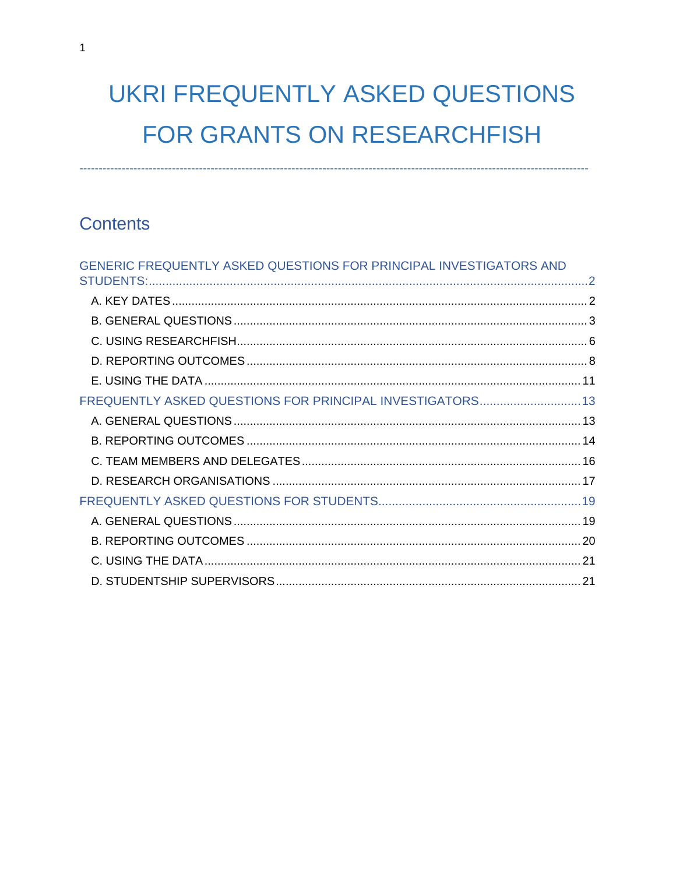# **UKRI FREQUENTLY ASKED QUESTIONS** FOR GRANTS ON RESEARCHFISH

# **Contents**

| GENERIC FREQUENTLY ASKED QUESTIONS FOR PRINCIPAL INVESTIGATORS AND |  |
|--------------------------------------------------------------------|--|
|                                                                    |  |
|                                                                    |  |
|                                                                    |  |
|                                                                    |  |
|                                                                    |  |
|                                                                    |  |
| FREQUENTLY ASKED QUESTIONS FOR PRINCIPAL INVESTIGATORS 13          |  |
|                                                                    |  |
|                                                                    |  |
|                                                                    |  |
|                                                                    |  |
|                                                                    |  |
|                                                                    |  |
|                                                                    |  |
|                                                                    |  |
|                                                                    |  |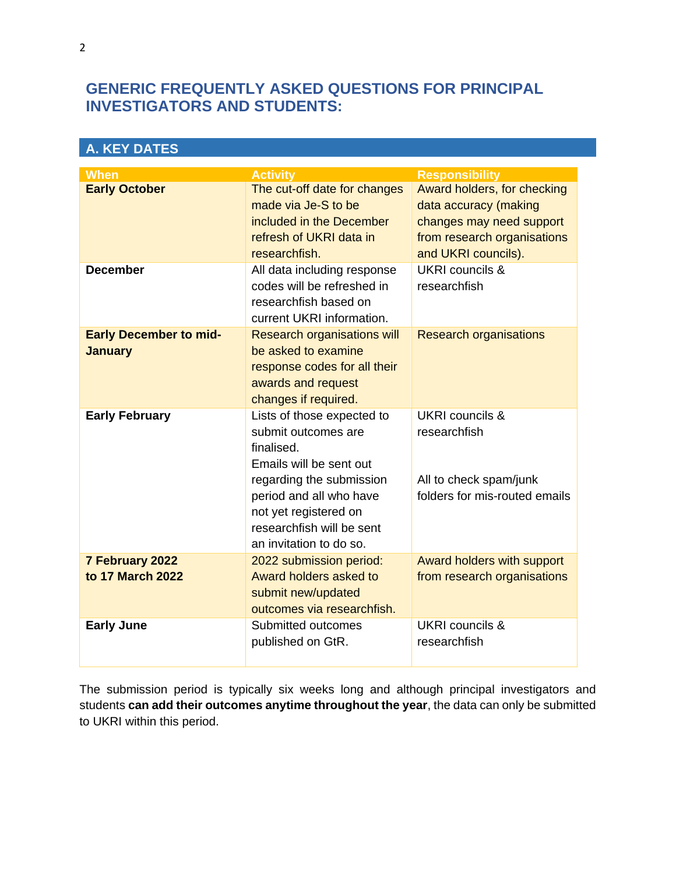# <span id="page-1-0"></span>**GENERIC FREQUENTLY ASKED QUESTIONS FOR PRINCIPAL INVESTIGATORS AND STUDENTS:**

<span id="page-1-1"></span>

| <b>A. KEY DATES</b>                             |                                                                                                                                                                                                                                    |                                                                                                                                        |  |
|-------------------------------------------------|------------------------------------------------------------------------------------------------------------------------------------------------------------------------------------------------------------------------------------|----------------------------------------------------------------------------------------------------------------------------------------|--|
| <b>When</b>                                     | <b>Activity</b>                                                                                                                                                                                                                    | <b>Responsibility</b>                                                                                                                  |  |
| <b>Early October</b>                            | The cut-off date for changes<br>made via Je-S to be<br>included in the December<br>refresh of UKRI data in<br>researchfish.                                                                                                        | Award holders, for checking<br>data accuracy (making<br>changes may need support<br>from research organisations<br>and UKRI councils). |  |
| <b>December</b>                                 | All data including response<br>codes will be refreshed in<br>researchfish based on<br>current UKRI information.                                                                                                                    | UKRI councils &<br>researchfish                                                                                                        |  |
| <b>Early December to mid-</b><br><b>January</b> | <b>Research organisations will</b><br>be asked to examine<br>response codes for all their<br>awards and request<br>changes if required.                                                                                            | <b>Research organisations</b>                                                                                                          |  |
| <b>Early February</b>                           | Lists of those expected to<br>submit outcomes are<br>finalised.<br>Emails will be sent out<br>regarding the submission<br>period and all who have<br>not yet registered on<br>researchfish will be sent<br>an invitation to do so. | <b>UKRI</b> councils &<br>researchfish<br>All to check spam/junk<br>folders for mis-routed emails                                      |  |
| 7 February 2022<br>to 17 March 2022             | 2022 submission period:<br>Award holders asked to<br>submit new/updated<br>outcomes via researchfish.                                                                                                                              | Award holders with support<br>from research organisations                                                                              |  |
| <b>Early June</b>                               | Submitted outcomes<br>published on GtR.                                                                                                                                                                                            | UKRI councils &<br>researchfish                                                                                                        |  |

The submission period is typically six weeks long and although principal investigators and students **can add their outcomes anytime throughout the year**, the data can only be submitted to UKRI within this period.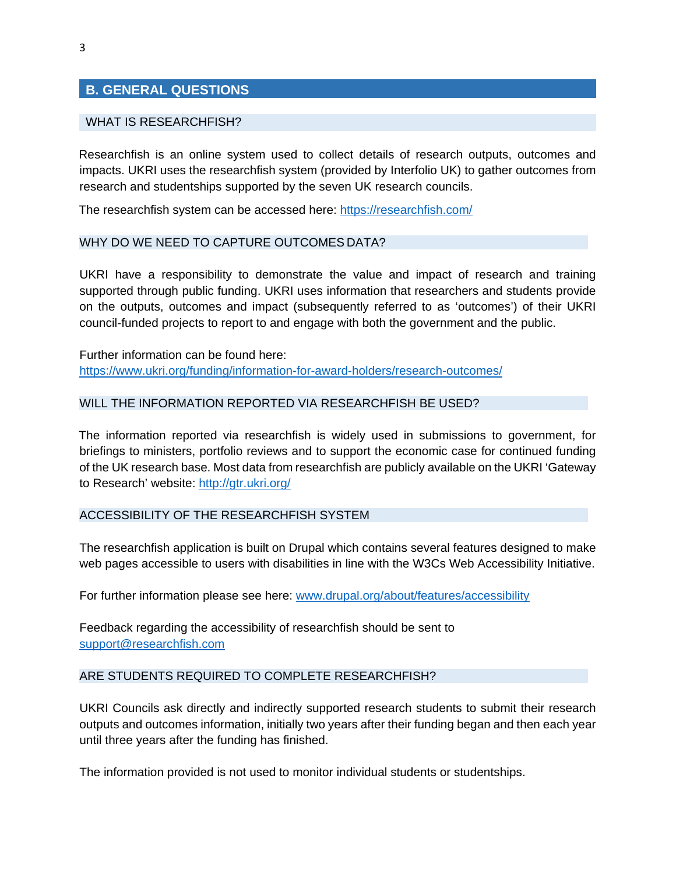# <span id="page-2-0"></span>**B. GENERAL QUESTIONS**

#### WHAT IS RESEARCHFISH?

Researchfish is an online system used to collect details of research outputs, outcomes and impacts. UKRI uses the researchfish system (provided by Interfolio UK) to gather outcomes from research and studentships supported by the seven UK research councils.

The researchfish system can be accessed here:<https://researchfish.com/>

#### WHY DO WE NEED TO CAPTURE OUTCOMES DATA?

UKRI have a responsibility to demonstrate the value and impact of research and training supported through public funding. UKRI uses information that researchers and students provide on the outputs, outcomes and impact (subsequently referred to as 'outcomes') of their UKRI council-funded projects to report to and engage with both the government and the public.

Further information can be found here: <https://www.ukri.org/funding/information-for-award-holders/research-outcomes/>

#### WILL THE INFORMATION REPORTED VIA RESEARCHFISH BE USED?

The information reported via researchfish is widely used in submissions to government, for briefings to ministers, portfolio reviews and to support the economic case for continued funding of the UK research base. Most data from researchfish are publicly available on the UKRI 'Gateway to Research' website:<http://gtr.ukri.org/>

#### ACCESSIBILITY OF THE RESEARCHFISH SYSTEM

The researchfish application is built on Drupal which contains several features designed to make web pages accessible to users with disabilities in line with the W3Cs Web Accessibility Initiative.

For further information please see here: [www.drupal.org/about/features/accessibility](http://www.drupal.org/about/features/accessibility)

Feedback regarding the accessibility of researchfish should be sent to [support@researchfish.com](mailto:support@researchfish.com)

#### ARE STUDENTS REQUIRED TO COMPLETE RESEARCHFISH?

UKRI Councils ask directly and indirectly supported research students to submit their research outputs and outcomes information, initially two years after their funding began and then each year until three years after the funding has finished.

The information provided is not used to monitor individual students or studentships.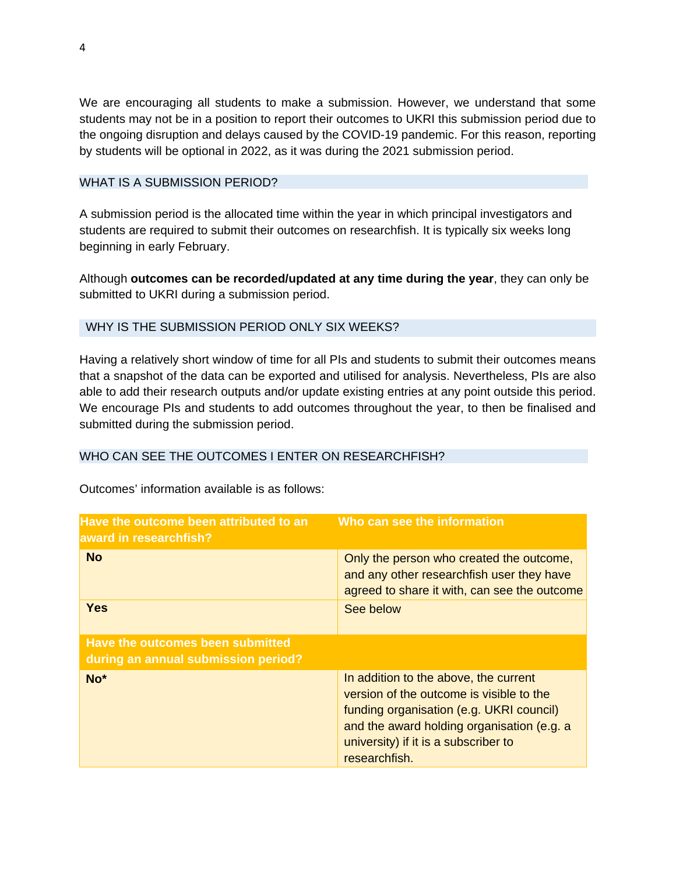We are encouraging all students to make a submission. However, we understand that some students may not be in a position to report their outcomes to UKRI this submission period due to the ongoing disruption and delays caused by the COVID-19 pandemic. For this reason, reporting by students will be optional in 2022, as it was during the 2021 submission period.

#### WHAT IS A SUBMISSION PERIOD?

A submission period is the allocated time within the year in which principal investigators and students are required to submit their outcomes on researchfish. It is typically six weeks long beginning in early February.

Although **outcomes can be recorded/updated at any time during the year**, they can only be submitted to UKRI during a submission period.

# WHY IS THE SUBMISSION PERIOD ONLY SIX WEEKS?

Having a relatively short window of time for all PIs and students to submit their outcomes means that a snapshot of the data can be exported and utilised for analysis. Nevertheless, PIs are also able to add their research outputs and/or update existing entries at any point outside this period. We encourage PIs and students to add outcomes throughout the year, to then be finalised and submitted during the submission period.

# WHO CAN SEE THE OUTCOMES I ENTER ON RESEARCHFISH?

| Have the outcome been attributed to an<br>award in researchfish?        | Who can see the information                                                                                                                                                                                                          |
|-------------------------------------------------------------------------|--------------------------------------------------------------------------------------------------------------------------------------------------------------------------------------------------------------------------------------|
| <b>No</b>                                                               | Only the person who created the outcome,<br>and any other researchfish user they have<br>agreed to share it with, can see the outcome                                                                                                |
| <b>Yes</b>                                                              | See below                                                                                                                                                                                                                            |
| Have the outcomes been submitted<br>during an annual submission period? |                                                                                                                                                                                                                                      |
| No <sup>*</sup>                                                         | In addition to the above, the current<br>version of the outcome is visible to the<br>funding organisation (e.g. UKRI council)<br>and the award holding organisation (e.g. a<br>university) if it is a subscriber to<br>researchfish. |

Outcomes' information available is as follows: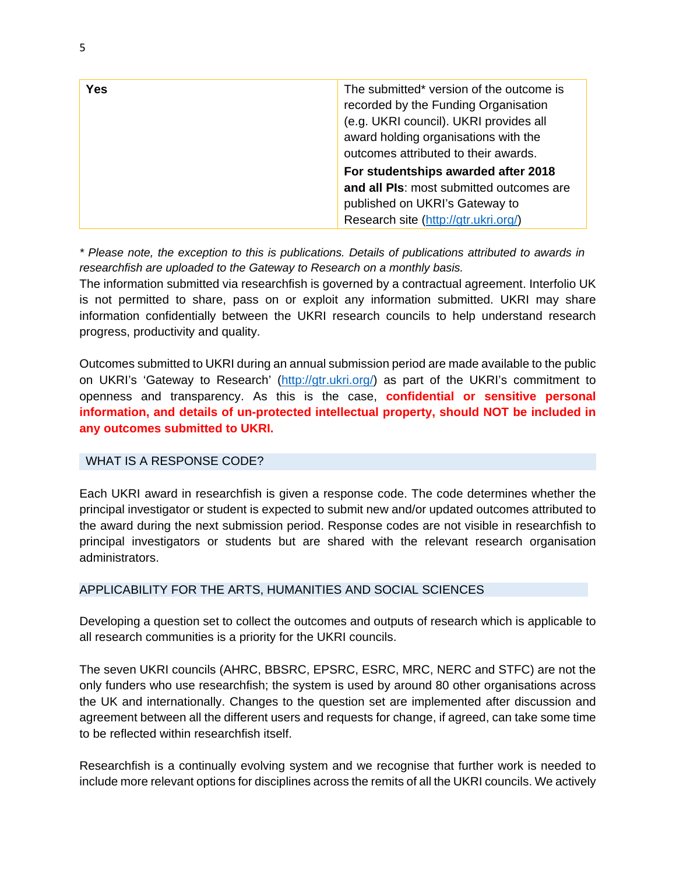| Yes | The submitted* version of the outcome is<br>recorded by the Funding Organisation<br>(e.g. UKRI council). UKRI provides all<br>award holding organisations with the<br>outcomes attributed to their awards. |
|-----|------------------------------------------------------------------------------------------------------------------------------------------------------------------------------------------------------------|
|     | For studentships awarded after 2018                                                                                                                                                                        |
|     | and all PIs: most submitted outcomes are<br>published on UKRI's Gateway to<br>Research site (http://gtr.ukri.org/)                                                                                         |

*\* Please note, the exception to this is publications. Details of publications attributed to awards in researchfish are uploaded to the Gateway to Research on a monthly basis.*

The information submitted via researchfish is governed by a contractual agreement. Interfolio UK is not permitted to share, pass on or exploit any information submitted. UKRI may share information confidentially between the UKRI research councils to help understand research progress, productivity and quality.

Outcomes submitted to UKRI during an annual submission period are made available to the public on UKRI's 'Gateway to Research' [\(http://gtr.ukri.org/](mailto:researchoutcomes@funding.ukri.org)[\)](https://app.researchfish.com/helpwiz/contact) as part of the UKRI's commitment to openness and transparency. As this is the case, **confidential or sensitive personal information, and details of un-protected intellectual property, should NOT be included in any outcomes submitted to UKRI.**

#### WHAT IS A RESPONSE CODE?

Each UKRI award in researchfish is given a response code. The code determines whether the principal investigator or student is expected to submit new and/or updated outcomes attributed to the award during the next submission period. Response codes are not visible in researchfish to principal investigators or students but are shared with the relevant research organisation administrators.

#### APPLICABILITY FOR THE ARTS, HUMANITIES AND SOCIAL SCIENCES

Developing a question set to collect the outcomes and outputs of research which is applicable to all research communities is a priority for the UKRI councils.

The seven UKRI councils (AHRC, BBSRC, EPSRC, ESRC, MRC, NERC and STFC) are not the only funders who use researchfish; the system is used by around 80 other organisations across the UK and internationally. Changes to the question set are implemented after discussion and agreement between all the different users and requests for change, if agreed, can take some time to be reflected within researchfish itself.

Researchfish is a continually evolving system and we recognise that further work is needed to include more relevant options for disciplines across the remits of all the UKRI councils. We actively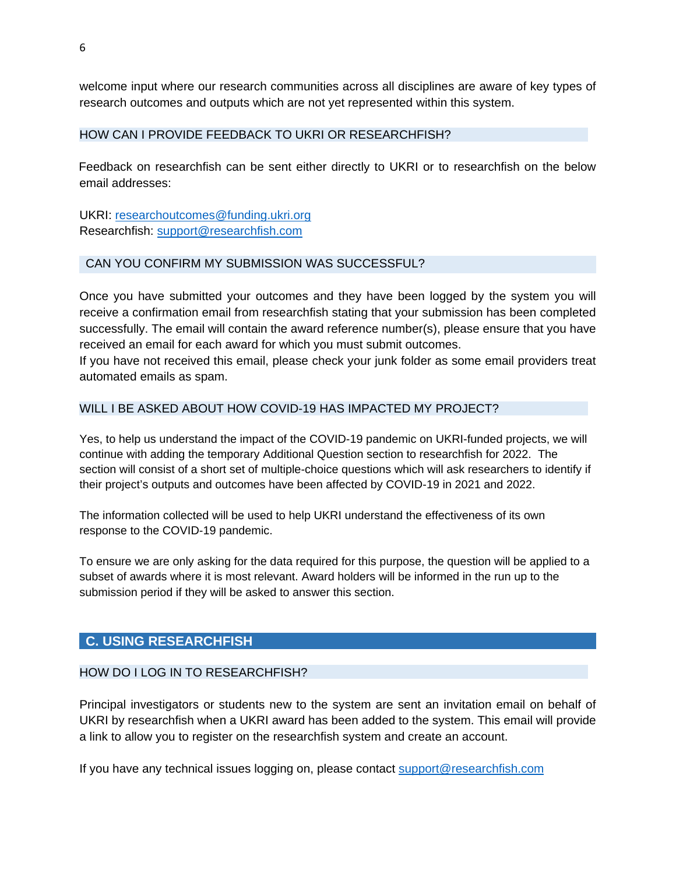welcome input where our research communities across all disciplines are aware of key types of research outcomes and outputs which are not yet represented within this system.

#### HOW CAN I PROVIDE FEEDBACK TO UKRI OR RESEARCHFISH?

Feedback on researchfish can be sent either directly to UKRI or to researchfish on the below email addresses:

UKRI: [researchoutcomes@funding.ukri.org](mailto:researchoutcomes@funding.ukri.org) Researchfish: [support@researchfish.com](mailto:support@researchfish.com)

#### CAN YOU CONFIRM MY SUBMISSION WAS SUCCESSFUL?

Once you have submitted your outcomes and they have been logged by the system you will receive a confirmation email from researchfish stating that your submission has been completed successfully. The email will contain the award reference number(s), please ensure that you have received an email for each award for which you must submit outcomes.

If you have not received this email, please check your junk folder as some email providers treat automated emails as spam.

#### WILL I BE ASKED ABOUT HOW COVID-19 HAS IMPACTED MY PROJECT?

Yes, to help us understand the impact of the COVID-19 pandemic on UKRI-funded projects, we will continue with adding the temporary Additional Question section to researchfish for 2022. The section will consist of a short set of multiple-choice questions which will ask researchers to identify if their project's outputs and outcomes have been affected by COVID-19 in 2021 and 2022.

The information collected will be used to help UKRI understand the effectiveness of its own response to the COVID-19 pandemic.

To ensure we are only asking for the data required for this purpose, the question will be applied to a subset of awards where it is most relevant. Award holders will be informed in the run up to the submission period if they will be asked to answer this section.

# <span id="page-5-0"></span>**C. USING RESEARCHFISH**

#### HOW DO I LOG IN TO RESEARCHEISH?

Principal investigators or students new to the system are sent an invitation email on behalf of UKRI by researchfish when a UKRI award has been added to the system. This email will provide a link to allow you to register on the researchfish system and create an account.

If you have any technical issues logging on, please contact [support@researchfish.com](mailto:support@researchfish.com)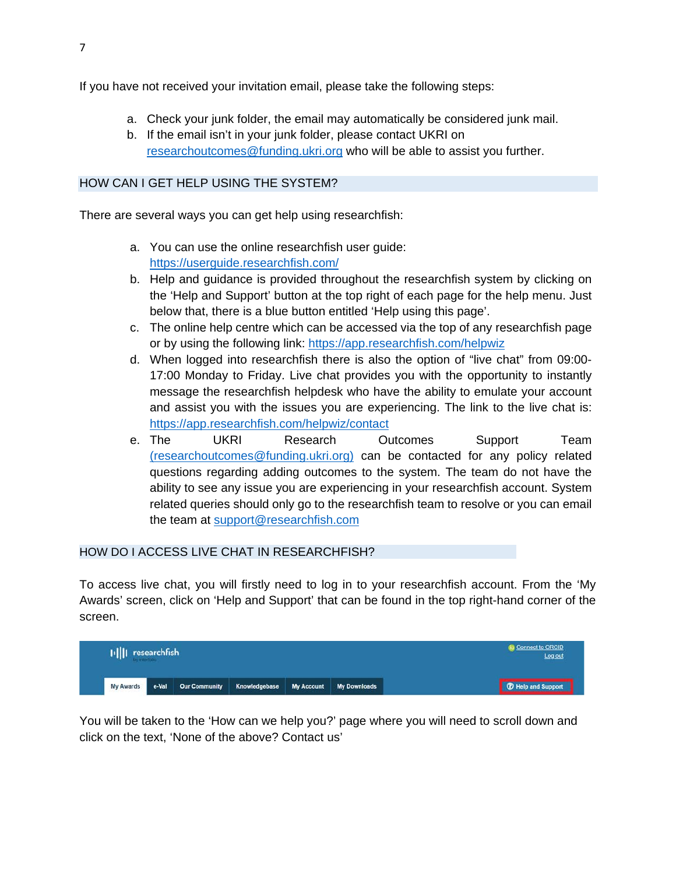If you have not received your invitation email, please take the following steps:

- a. Check your junk folder, the email may automatically be considered junk mail.
- b. If the email isn't in your junk folder, please contact UKRI on [researchoutcomes@funding.ukri.org](mailto:researchoutcomes@funding.ukri.org) who will be able to assist you further.

#### HOW CAN I GET HELP USING THE SYSTEM?

There are several ways you can get help using researchfish:

- a. You can use the online researchfish user guide[:](https://userguide.researchfish.com/) <https://userguide.researchfish.com/>
- b. Help and guidance is provided throughout the researchfish system by clicking on the 'Help and Support' button at the top right of each page for the help menu. Just below that, there is a blue button entitled 'Help using this page'.
- c. The online help centre which can be accessed via the top of any researchfish page or by using the following link: <https://app.researchfish.com/helpwiz>
- d. When logged into researchfish there is also the option of "live chat" from 09:00- 17:00 Monday to Friday. Live chat provides you with the opportunity to instantly message the researchfish helpdesk who have the ability to emulate your account and assist you with the issues you are experiencing. The link to the live chat is: <https://app.researchfish.com/helpwiz/contact>
- e. The UKRI Research Outcomes Support Team [\(researchoutcomes@funding.ukri.org\)](mailto:researchoutcomes@funding.ukri.org) can be contacted for any policy related questions regarding adding outcomes to the system. The team do not have the ability to see any issue you are experiencing in your researchfish account. System related queries should only go to the researchfish team to resolve or you can email the team at [support@researchfish.com](mailto:support@researchfish.com)

#### HOW DO I ACCESS LIVE CHAT IN RESEARCHFISH?

To access live chat, you will firstly need to log in to your researchfish account. From the 'My Awards' screen, click on 'Help and Support' that can be found in the top right-hand corner of the screen.

| +     researchfish<br>by interfalls |       |  |                                                     | <b>Connect to ORCID</b><br>Log out |  |                           |
|-------------------------------------|-------|--|-----------------------------------------------------|------------------------------------|--|---------------------------|
| My Awards                           | e-Val |  | Our Community Knowledgebase My Account My Downloads |                                    |  | <b>T</b> Help and Support |

You will be taken to the 'How can we help you?' page where you will need to scroll down and click on the text, 'None of the above? Contact us'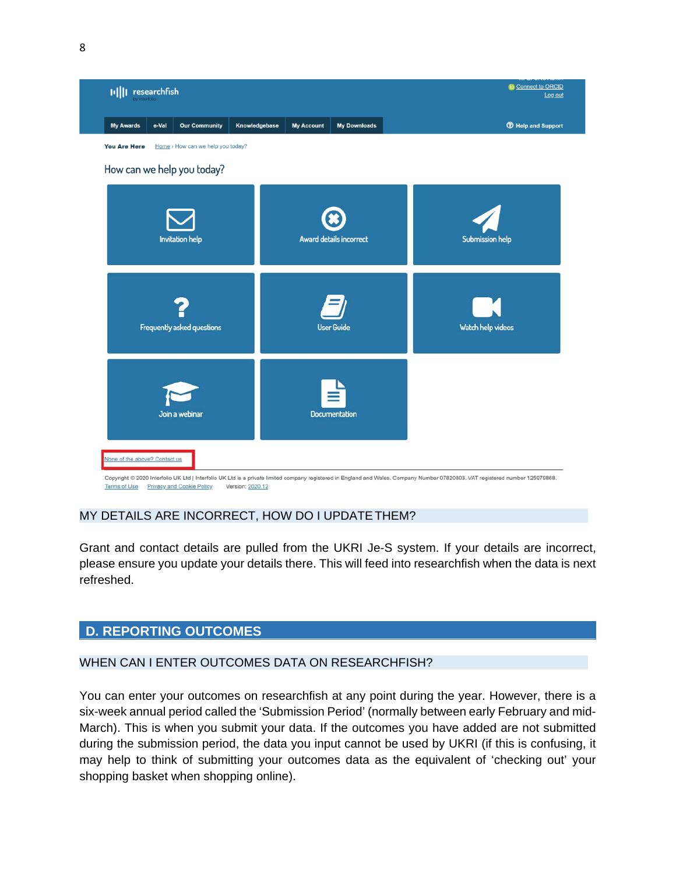

Copyright @ 2020 Interfolio UK Ltd | Interfolio UK Ltd is a private limited company registered in England and Wales. Company Number 07820803. VAT registered number 125979868. Terms of Use Privacy and Cookie Policy Version: 2020.12

#### MY DETAILS ARE INCORRECT, HOW DO I UPDATETHEM?

Grant and contact details are pulled from the UKRI Je-S system. If your details are incorrect, please ensure you update your details there. This will feed into researchfish when the data is next refreshed.

# <span id="page-7-0"></span>**D. REPORTING OUTCOMES**

# WHEN CAN I ENTER OUTCOMES DATA ON RESEARCHFISH?

You can enter your outcomes on researchfish at any point during the year. However, there is a six-week annual period called the 'Submission Period' (normally between early February and mid-March). This is when you submit your data. If the outcomes you have added are not submitted during the submission period, the data you input cannot be used by UKRI (if this is confusing, it may help to think of submitting your outcomes data as the equivalent of 'checking out' your shopping basket when shopping online).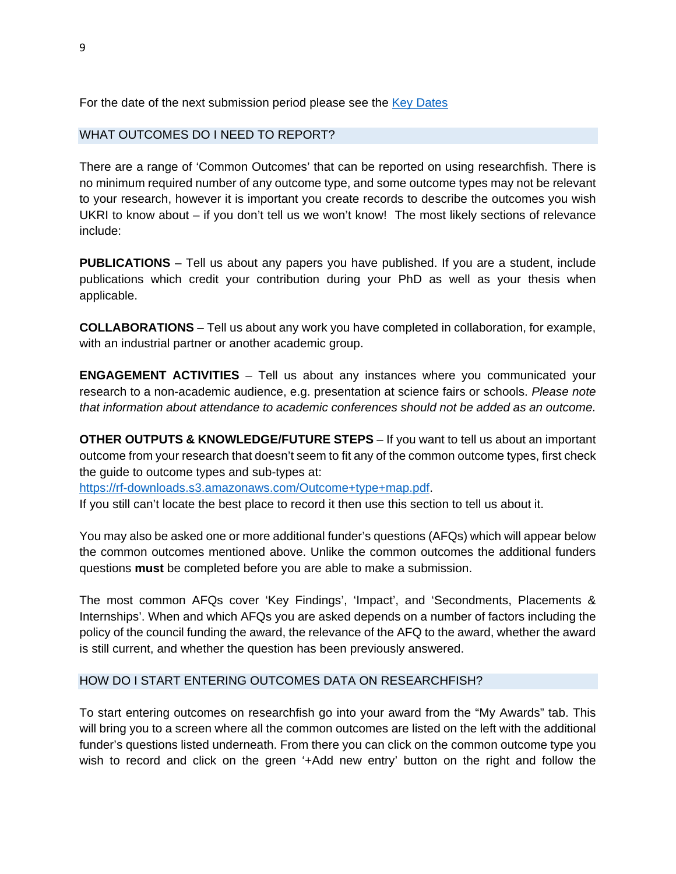For the date of the next submission period please see the [Key Dates](#page-1-1)

#### WHAT OUTCOMES DO I NEED TO REPORT?

There are a range of 'Common Outcomes' that can be reported on using researchfish. There is no minimum required number of any outcome type, and some outcome types may not be relevant to your research, however it is important you create records to describe the outcomes you wish UKRI to know about – if you don't tell us we won't know! The most likely sections of relevance include:

**PUBLICATIONS** – Tell us about any papers you have published. If you are a student, include publications which credit your contribution during your PhD as well as your thesis when applicable.

**COLLABORATIONS** – Tell us about any work you have completed in collaboration, for example, with an industrial partner or another academic group.

**ENGAGEMENT ACTIVITIES** – Tell us about any instances where you communicated your research to a non-academic audience, e.g. presentation at science fairs or schools. *Please note that information about attendance to academic conferences should not be added as an outcome.*

**OTHER OUTPUTS & KNOWLEDGE/FUTURE STEPS** – If you want to tell us about an important outcome from your research that doesn't seem to fit any of the common outcome types, first check the guide to outcome types and sub-types at:

[https://rf-downloads.s3.amazonaws.com/Outcome+type+map.pdf.](https://rf-downloads.s3.amazonaws.com/Outcome+type+map.pdf)

If you still can't locate the best place to record it then use this section to tell us about it.

You may also be asked one or more additional funder's questions (AFQs) which will appear below the common outcomes mentioned above. Unlike the common outcomes the additional funders questions **must** be completed before you are able to make a submission.

The most common AFQs cover 'Key Findings', 'Impact', and 'Secondments, Placements & Internships'. When and which AFQs you are asked depends on a number of factors including the policy of the council funding the award, the relevance of the AFQ to the award, whether the award is still current, and whether the question has been previously answered.

#### HOW DO I START ENTERING OUTCOMES DATA ON RESEARCHFISH?

To start entering outcomes on researchfish go into your award from the "My Awards" tab. This will bring you to a screen where all the common outcomes are listed on the left with the additional funder's questions listed underneath. From there you can click on the common outcome type you wish to record and click on the green '+Add new entry' button on the right and follow the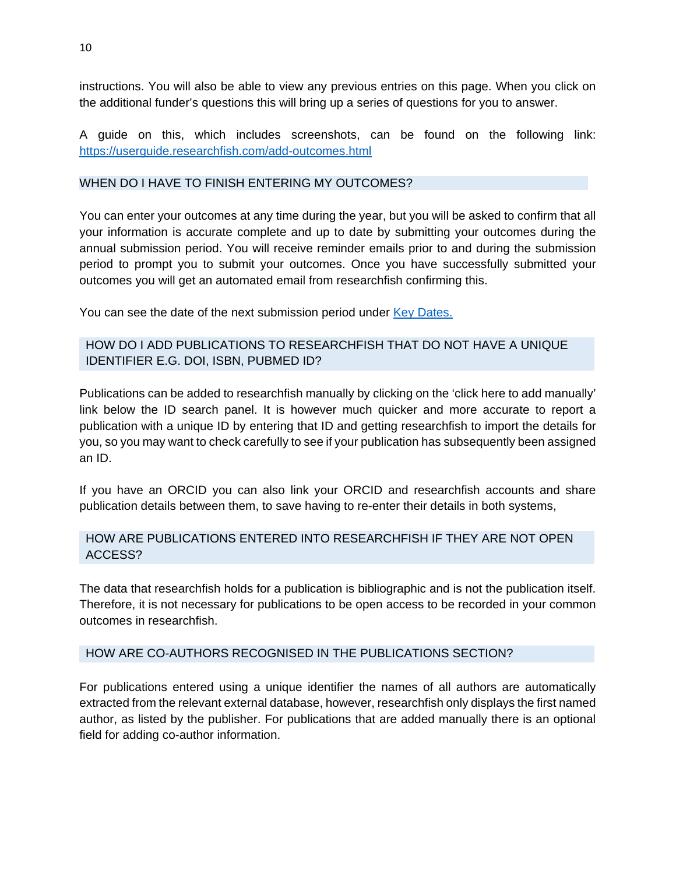instructions. You will also be able to view any previous entries on this page. When you click on the additional funder's questions this will bring up a series of questions for you to answer.

A guide on this, which includes screenshots, can be found on the following link: <https://userguide.researchfish.com/add-outcomes.html>

#### WHEN DO I HAVE TO FINISH ENTERING MY OUTCOMES?

You can enter your outcomes at any time during the year, but you will be asked to confirm that all your information is accurate complete and up to date by submitting your outcomes during the annual submission period. You will receive reminder emails prior to and during the submission period to prompt you to submit your outcomes. Once you have successfully submitted your outcomes you will get an automated email from researchfish confirming this.

You can see the date of the next submission period under [Key Dates.](#page-1-1)

# HOW DO I ADD PUBLICATIONS TO RESEARCHFISH THAT DO NOT HAVE A UNIQUE IDENTIFIER E.G. DOI, ISBN, PUBMED ID?

Publications can be added to researchfish manually by clicking on the 'click here to add manually' link below the ID search panel. It is however much quicker and more accurate to report a publication with a unique ID by entering that ID and getting researchfish to import the details for you, so you may want to check carefully to see if your publication has subsequently been assigned an ID.

If you have an ORCID you can also link your ORCID and researchfish accounts and share publication details between them, to save having to re-enter their details in both systems,

# HOW ARE PUBLICATIONS ENTERED INTO RESEARCHFISH IF THEY ARE NOT OPEN ACCESS?

The data that researchfish holds for a publication is bibliographic and is not the publication itself. Therefore, it is not necessary for publications to be open access to be recorded in your common outcomes in researchfish.

#### HOW ARE CO-AUTHORS RECOGNISED IN THE PUBLICATIONS SECTION?

For publications entered using a unique identifier the names of all authors are automatically extracted from the relevant external database, however, researchfish only displays the first named author, as listed by the publisher. For publications that are added manually there is an optional field for adding co-author information.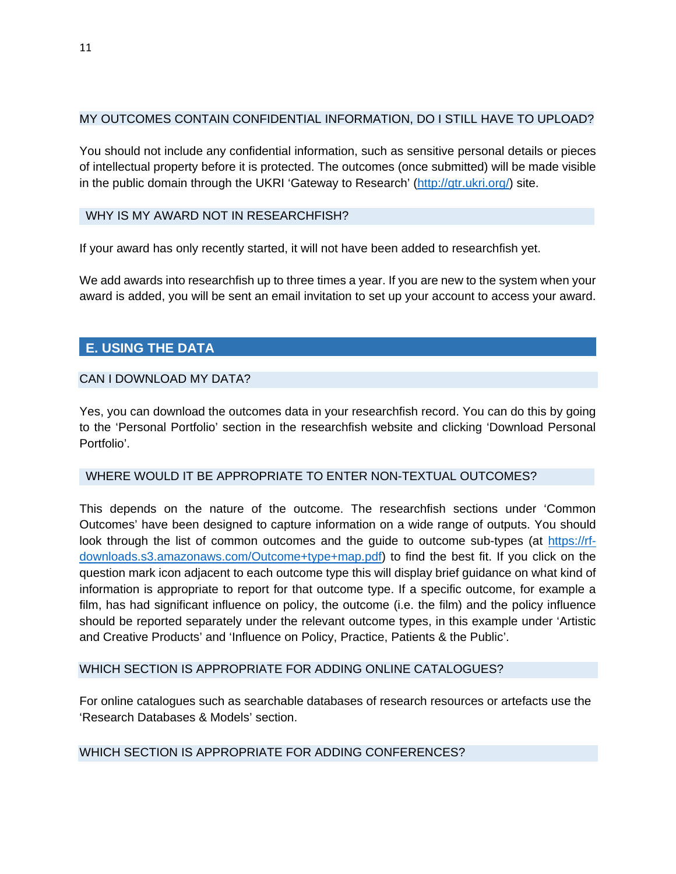#### MY OUTCOMES CONTAIN CONFIDENTIAL INFORMATION, DO I STILL HAVE TO UPLOAD?

You should not include any confidential information, such as sensitive personal details or pieces of intellectual property before it is protected. The outcomes (once submitted) will be made visible in the public domain through the UKRI 'Gateway to Research' [\(http://gtr.ukri.org/\) si](http://gtr.ukri.org/)te.

#### WHY IS MY AWARD NOT IN RESEARCHFISH?

If your award has only recently started, it will not have been added to researchfish yet.

We add awards into researchfish up to three times a year. If you are new to the system when your award is added, you will be sent an email invitation to set up your account to access your award.

# <span id="page-10-0"></span>**E. USING THE DATA**

#### CAN I DOWNLOAD MY DATA?

Yes, you can download the outcomes data in your researchfish record. You can do this by going to the 'Personal Portfolio' section in the researchfish website and clicking 'Download Personal Portfolio'.

#### WHERE WOULD IT BE APPROPRIATE TO ENTER NON-TEXTUAL OUTCOMES?

This depends on the nature of the outcome. The researchfish sections under 'Common Outcomes' have been designed to capture information on a wide range of outputs. You should look through the list of common outcomes and the guide to outcome sub-types (at [https://rf](https://rf-downloads.s3.amazonaws.com/Outcome+type+map.pdf)[downloads.s3.amazonaws.com/Outcome+type+map.pdf\)](https://rf-downloads.s3.amazonaws.com/Outcome+type+map.pdf) to find the best fit. If you click on the question mark icon adjacent to each outcome type this will display brief guidance on what kind of information is appropriate to report for that outcome type. If a specific outcome, for example a film, has had significant influence on policy, the outcome (i.e. the film) and the policy influence should be reported separately under the relevant outcome types, in this example under 'Artistic and Creative Products' and 'Influence on Policy, Practice, Patients & the Public'.

#### WHICH SECTION IS APPROPRIATE FOR ADDING ONLINE CATALOGUES?

For online catalogues such as searchable databases of research resources or artefacts use the 'Research Databases & Models' section.

#### WHICH SECTION IS APPROPRIATE FOR ADDING CONFERENCES?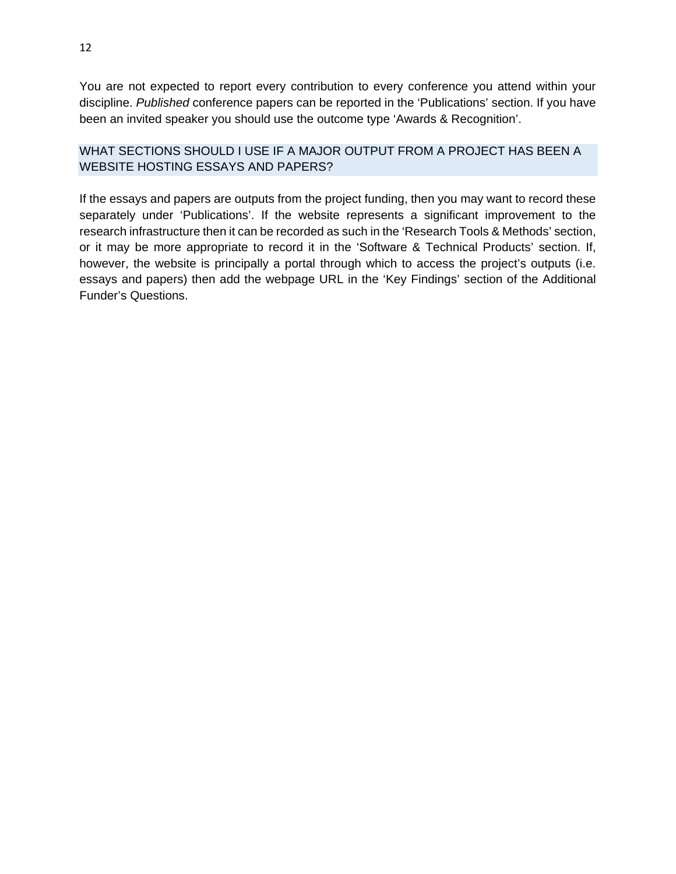You are not expected to report every contribution to every conference you attend within your discipline. *Published* conference papers can be reported in the 'Publications' section. If you have been an invited speaker you should use the outcome type 'Awards & Recognition'.

# WHAT SECTIONS SHOULD I USE IF A MAJOR OUTPUT FROM A PROJECT HAS BEEN A WEBSITE HOSTING ESSAYS AND PAPERS?

If the essays and papers are outputs from the project funding, then you may want to record these separately under 'Publications'. If the website represents a significant improvement to the research infrastructure then it can be recorded as such in the 'Research Tools & Methods' section, or it may be more appropriate to record it in the 'Software & Technical Products' section. If, however, the website is principally a portal through which to access the project's outputs (i.e. essays and papers) then add the webpage URL in the 'Key Findings' section of the Additional Funder's Questions.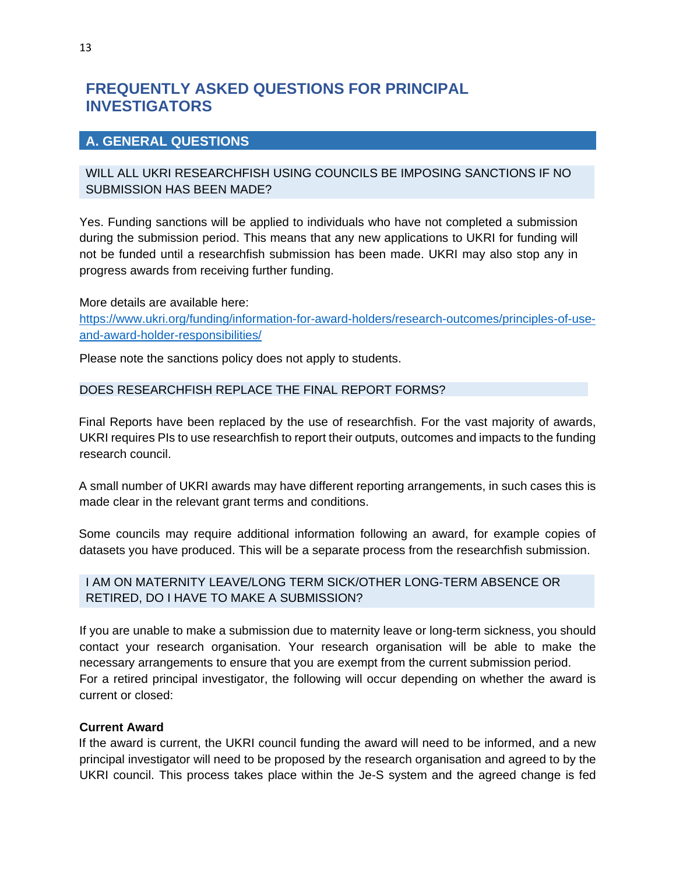# <span id="page-12-0"></span>**FREQUENTLY ASKED QUESTIONS FOR PRINCIPAL INVESTIGATORS**

# <span id="page-12-1"></span>**A. GENERAL QUESTIONS**

# WILL ALL UKRI RESEARCHFISH USING COUNCILS BE IMPOSING SANCTIONS IF NO SUBMISSION HAS BEEN MADE?

Yes. Funding sanctions will be applied to individuals who have not completed a submission during the submission period. This means that any new applications to UKRI for funding will not be funded until a researchfish submission has been made. UKRI may also stop any in progress awards from receiving further funding.

More details are available here: [https://www.ukri.org/funding/information-for-award-holders/research-outcomes/principles-of-use](https://www.ukri.org/funding/information-for-award-holders/research-outcomes/principles-of-use-and-award-holder-responsibilities/)[and-award-holder-responsibilities/](https://www.ukri.org/funding/information-for-award-holders/research-outcomes/principles-of-use-and-award-holder-responsibilities/)

Please note the sanctions policy does not apply to students.

# DOES RESEARCHFISH REPLACE THE FINAL REPORT FORMS?

Final Reports have been replaced by the use of researchfish. For the vast majority of awards, UKRI requires PIs to use researchfish to report their outputs, outcomes and impacts to the funding research council.

A small number of UKRI awards may have different reporting arrangements, in such cases this is made clear in the relevant grant terms and conditions.

Some councils may require additional information following an award, for example copies of datasets you have produced. This will be a separate process from the researchfish submission.

# I AM ON MATERNITY LEAVE/LONG TERM SICK/OTHER LONG-TERM ABSENCE OR RETIRED, DO I HAVE TO MAKE A SUBMISSION?

If you are unable to make a submission due to maternity leave or long-term sickness, you should contact your research organisation. Your research organisation will be able to make the necessary arrangements to ensure that you are exempt from the current submission period. For a retired principal investigator, the following will occur depending on whether the award is current or closed:

#### **Current Award**

If the award is current, the UKRI council funding the award will need to be informed, and a new principal investigator will need to be proposed by the research organisation and agreed to by the UKRI council. This process takes place within the Je-S system and the agreed change is fed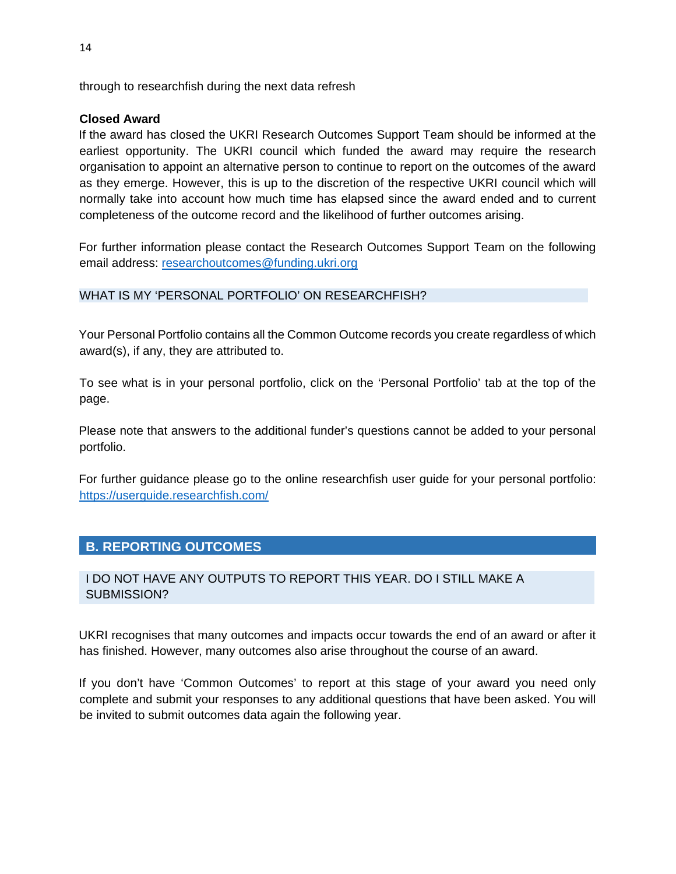through to researchfish during the next data refresh

# **Closed Award**

If the award has closed the UKRI Research Outcomes Support Team should be informed at the earliest opportunity. The UKRI council which funded the award may require the research organisation to appoint an alternative person to continue to report on the outcomes of the award as they emerge. However, this is up to the discretion of the respective UKRI council which will normally take into account how much time has elapsed since the award ended and to current completeness of the outcome record and the likelihood of further outcomes arising.

For further information please contact the Research Outcomes Support Team on the following email address: [researchoutcomes@funding.ukri.org](mailto:support@researchfish.com)

# WHAT IS MY 'PERSONAL PORTFOLIO' ON RESEARCHFISH?

Your Personal Portfolio contains all the Common Outcome records you create regardless of which award(s), if any, they are attributed to.

To see what is in your personal portfolio, click on the 'Personal Portfolio' tab at the top of the page.

Please note that answers to the additional funder's questions cannot be added to your personal portfolio.

For further guidance please go to the online researchfish user guide for your personal portfolio: <https://userguide.researchfish.com/>

# <span id="page-13-0"></span>**B. REPORTING OUTCOMES**

# I DO NOT HAVE ANY OUTPUTS TO REPORT THIS YEAR. DO I STILL MAKE A SUBMISSION?

UKRI recognises that many outcomes and impacts occur towards the end of an award or after it has finished. However, many outcomes also arise throughout the course of an award.

If you don't have 'Common Outcomes' to report at this stage of your award you need only complete and submit your responses to any additional questions that have been asked. You will be invited to submit outcomes data again the following year.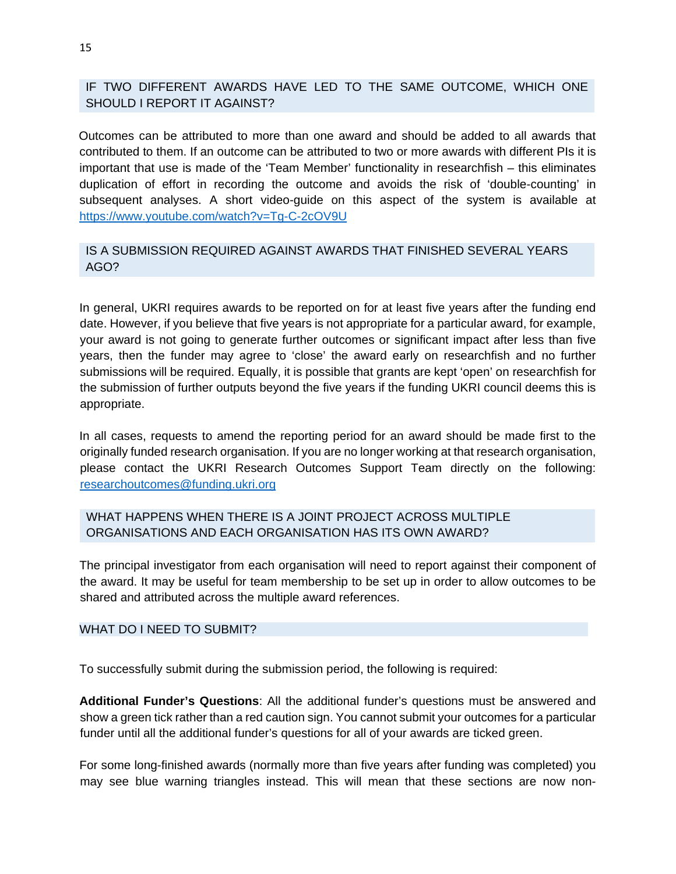IF TWO DIFFERENT AWARDS HAVE LED TO THE SAME OUTCOME, WHICH ONE SHOULD I REPORT IT AGAINST?

Outcomes can be attributed to more than one award and should be added to all awards that contributed to them. If an outcome can be attributed to two or more awards with different PIs it is important that use is made of the 'Team Member' functionality in researchfish – this eliminates duplication of effort in recording the outcome and avoids the risk of 'double-counting' in subsequent analyses. A short video-guide on this aspect of the system is available at <https://www.youtube.com/watch?v=Tg-C-2cOV9U>

# IS A SUBMISSION REQUIRED AGAINST AWARDS THAT FINISHED SEVERAL YEARS AGO?

In general, UKRI requires awards to be reported on for at least five years after the funding end date. However, if you believe that five years is not appropriate for a particular award, for example, your award is not going to generate further outcomes or significant impact after less than five years, then the funder may agree to 'close' the award early on researchfish and no further submissions will be required. Equally, it is possible that grants are kept 'open' on researchfish for the submission of further outputs beyond the five years if the funding UKRI council deems this is appropriate.

In all cases, requests to amend the reporting period for an award should be made first to the originally funded research organisation. If you are no longer working at that research organisation, please contact the UKRI Research Outcomes Support Team directly on the following: [researchoutcomes@funding.ukri.org](mailto:researchoutcomes@funding.ukri.org)

# WHAT HAPPENS WHEN THERE IS A JOINT PROJECT ACROSS MUI TIPLE ORGANISATIONS AND EACH ORGANISATION HAS ITS OWN AWARD?

The principal investigator from each organisation will need to report against their component of the award. It may be useful for team membership to be set up in order to allow outcomes to be shared and attributed across the multiple award references.

#### WHAT DO I NEED TO SUBMIT?

To successfully submit during the submission period, the following is required:

**Additional Funder's Questions**: All the additional funder's questions must be answered and show a green tick rather than a red caution sign. You cannot submit your outcomes for a particular funder until all the additional funder's questions for all of your awards are ticked green.

For some long-finished awards (normally more than five years after funding was completed) you may see blue warning triangles instead. This will mean that these sections are now non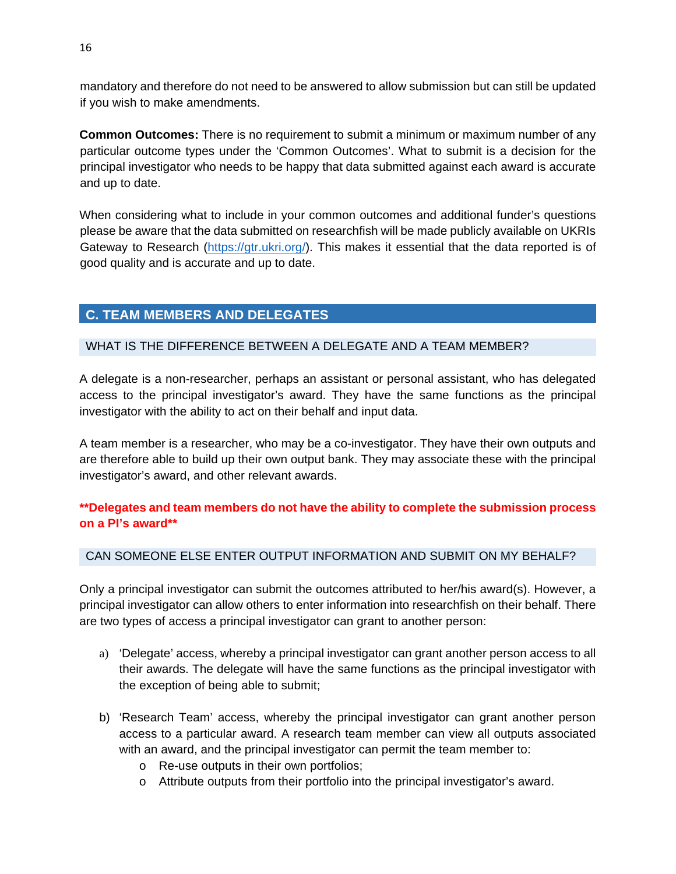mandatory and therefore do not need to be answered to allow submission but can still be updated if you wish to make amendments.

**Common Outcomes:** There is no requirement to submit a minimum or maximum number of any particular outcome types under the 'Common Outcomes'. What to submit is a decision for the principal investigator who needs to be happy that data submitted against each award is accurate and up to date.

When considering what to include in your common outcomes and additional funder's questions please be aware that the data submitted on researchfish will be made publicly available on UKRIs Gateway to Research [\(https://gtr.ukri.org/\)](https://gtr.ukri.org/). This makes it essential that the data reported is of good quality and is accurate and up to date.

# <span id="page-15-0"></span>**C. TEAM MEMBERS AND DELEGATES**

# WHAT IS THE DIFFERENCE BETWEEN A DELEGATE AND A TEAM MEMBER?

A delegate is a non-researcher, perhaps an assistant or personal assistant, who has delegated access to the principal investigator's award. They have the same functions as the principal investigator with the ability to act on their behalf and input data.

A team member is a researcher, who may be a co-investigator. They have their own outputs and are therefore able to build up their own output bank. They may associate these with the principal investigator's award, and other relevant awards.

# **\*\*Delegates and team members do not have the ability to complete the submission process on a PI's award\*\***

#### CAN SOMEONE ELSE ENTER OUTPUT INFORMATION AND SUBMIT ON MY BEHALF?

Only a principal investigator can submit the outcomes attributed to her/his award(s). However, a principal investigator can allow others to enter information into researchfish on their behalf. There are two types of access a principal investigator can grant to another person:

- a) 'Delegate' access, whereby a principal investigator can grant another person access to all their awards. The delegate will have the same functions as the principal investigator with the exception of being able to submit;
- b) 'Research Team' access, whereby the principal investigator can grant another person access to a particular award. A research team member can view all outputs associated with an award, and the principal investigator can permit the team member to:
	- o Re-use outputs in their own portfolios;
	- o Attribute outputs from their portfolio into the principal investigator's award.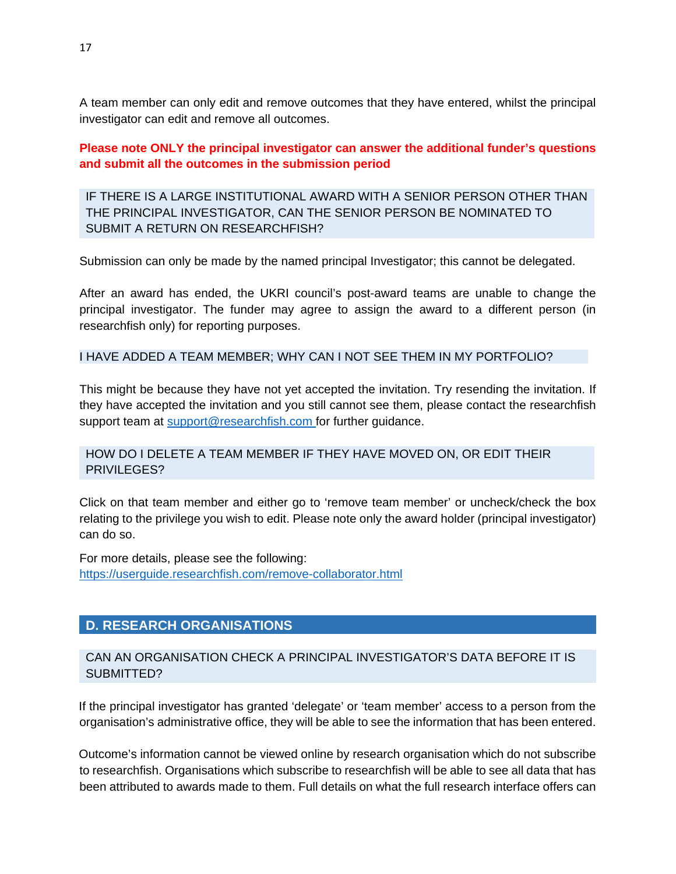A team member can only edit and remove outcomes that they have entered, whilst the principal investigator can edit and remove all outcomes.

**Please note ONLY the principal investigator can answer the additional funder's questions and submit all the outcomes in the submission period**

IF THERE IS A LARGE INSTITUTIONAL AWARD WITH A SENIOR PERSON OTHER THAN THE PRINCIPAL INVESTIGATOR, CAN THE SENIOR PERSON BE NOMINATED TO SUBMIT A RETURN ON RESEARCHFISH?

Submission can only be made by the named principal Investigator; this cannot be delegated.

After an award has ended, the UKRI council's post-award teams are unable to change the principal investigator. The funder may agree to assign the award to a different person (in researchfish only) for reporting purposes.

I HAVE ADDED A TEAM MEMBER; WHY CAN I NOT SEE THEM IN MY PORTFOLIO?

This might be because they have not yet accepted the invitation. Try resending the invitation. If they have accepted the invitation and you still cannot see them, please contact the researchfish support team at [support@researchfish.com](https://userguide.researchfish.com/pp-profile.html) for further guidance.

# HOW DO I DELETE A TEAM MEMBER IF THEY HAVE MOVED ON, OR EDIT THEIR PRIVILEGES?

Click on that team member and either go to 'remove team member' or uncheck/check the box relating to the privilege you wish to edit. Please note only the award holder (principal investigator) can do so.

For more details, please see the following: <https://userguide.researchfish.com/remove-collaborator.html>

# <span id="page-16-0"></span>**D. RESEARCH ORGANISATIONS**

# CAN AN ORGANISATION CHECK A PRINCIPAL INVESTIGATOR'S DATA BEFORE IT IS SUBMITTED?

If the principal investigator has granted 'delegate' or 'team member' access to a person from the organisation's administrative office, they will be able to see the information that has been entered.

Outcome's information cannot be viewed online by research organisation which do not subscribe to researchfish. Organisations which subscribe to researchfish will be able to see all data that has been attributed to awards made to them. Full details on what the full research interface offers can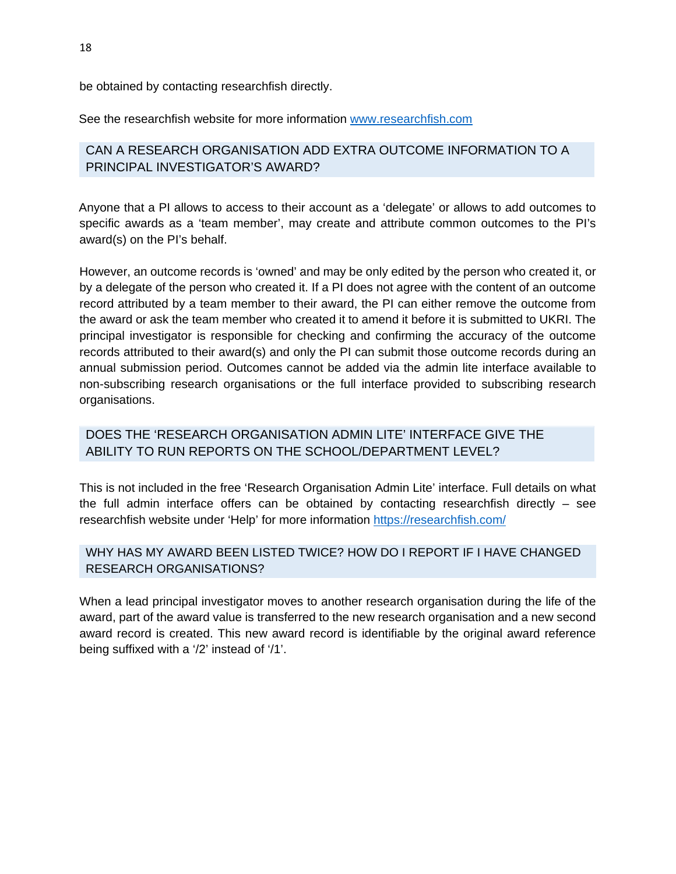be obtained by contacting researchfish directly.

See the researchfish website for more information [www.researchfish.com](mailto:support@researchfish.com)

# CAN A RESEARCH ORGANISATION ADD EXTRA OUTCOME INFORMATION TO A PRINCIPAL INVESTIGATOR'S AWARD?

Anyone that a PI allows to access to their account as a 'delegate' or allows to add outcomes to specific awards as a 'team member', may create and attribute common outcomes to the PI's award(s) on the PI's behalf.

However, an outcome records is 'owned' and may be only edited by the person who created it, or by a delegate of the person who created it. If a PI does not agree with the content of an outcome record attributed by a team member to their award, the PI can either remove the outcome from the award or ask the team member who created it to amend it before it is submitted to UKRI. The principal investigator is responsible for checking and confirming the accuracy of the outcome records attributed to their award(s) and only the PI can submit those outcome records during an annual submission period. Outcomes cannot be added via the admin lite interface available to non-subscribing research organisations or the full interface provided to subscribing research organisations.

# DOES THE 'RESEARCH ORGANISATION ADMIN LITE' INTERFACE GIVE THE ABILITY TO RUN REPORTS ON THE SCHOOL/DEPARTMENT LEVEL?

This is not included in the free 'Research Organisation Admin Lite' interface. Full details on what the full admin interface offers can be obtained by contacting researchfish directly – see researchfish website under 'Help' for more information<https://researchfish.com/>

# WHY HAS MY AWARD BEEN LISTED TWICE? HOW DO I REPORT IF I HAVE CHANGED RESEARCH ORGANISATIONS?

When a lead principal investigator moves to another research organisation during the life of the award, part of the award value is transferred to the new research organisation and a new second award record is created. This new award record is identifiable by the original award reference being suffixed with a '/2' instead of '/1'.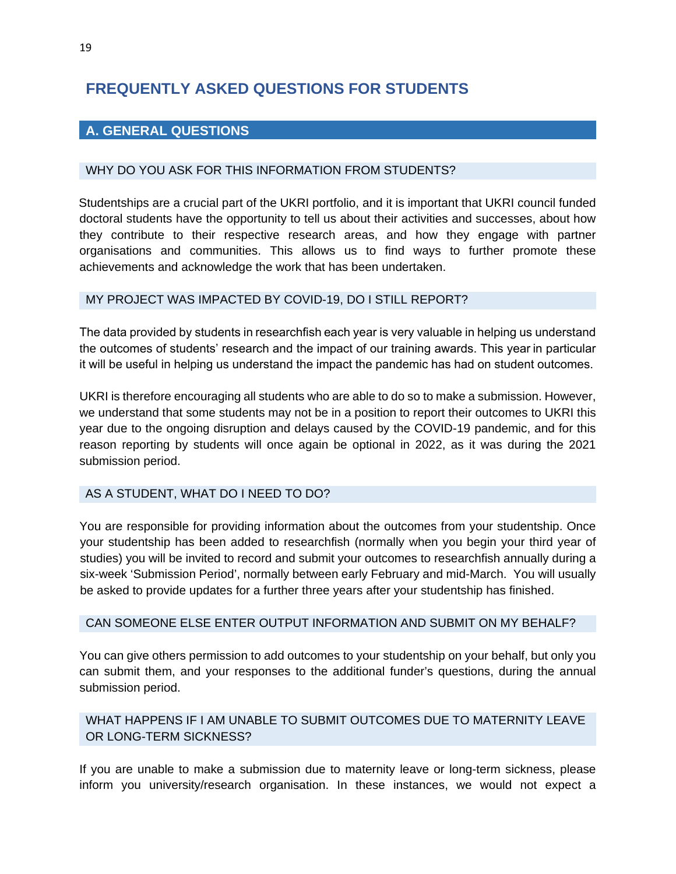# <span id="page-18-0"></span>**FREQUENTLY ASKED QUESTIONS FOR STUDENTS**

# <span id="page-18-1"></span>**A. GENERAL QUESTIONS**

#### WHY DO YOU ASK FOR THIS INFORMATION FROM STUDENTS?

Studentships are a crucial part of the UKRI portfolio, and it is important that UKRI council funded doctoral students have the opportunity to tell us about their activities and successes, about how they contribute to their respective research areas, and how they engage with partner organisations and communities. This allows us to find ways to further promote these achievements and acknowledge the work that has been undertaken.

#### MY PROJECT WAS IMPACTED BY COVID-19, DO I STILL REPORT?

The data provided by students in researchfish each year is very valuable in helping us understand the outcomes of students' research and the impact of our training awards. This year in particular it will be useful in helping us understand the impact the pandemic has had on student outcomes. 

UKRI is therefore encouraging all students who are able to do so to make a submission. However, we understand that some students may not be in a position to report their outcomes to UKRI this year due to the ongoing disruption and delays caused by the COVID-19 pandemic, and for this reason reporting by students will once again be optional in 2022, as it was during the 2021 submission period.

#### AS A STUDENT, WHAT DO I NEED TO DO?

You are responsible for providing information about the outcomes from your studentship. Once your studentship has been added to researchfish (normally when you begin your third year of studies) you will be invited to record and submit your outcomes to researchfish annually during a six-week 'Submission Period', normally between early February and mid-March. You will usually be asked to provide updates for a further three years after your studentship has finished.

#### CAN SOMEONE ELSE ENTER OUTPUT INFORMATION AND SUBMIT ON MY BEHALF?

You can give others permission to add outcomes to your studentship on your behalf, but only you can submit them, and your responses to the additional funder's questions, during the annual submission period.

# WHAT HAPPENS IF I AM UNABLE TO SUBMIT OUTCOMES DUE TO MATERNITY LEAVE OR LONG-TERM SICKNESS?

If you are unable to make a submission due to maternity leave or long-term sickness, please inform you university/research organisation. In these instances, we would not expect a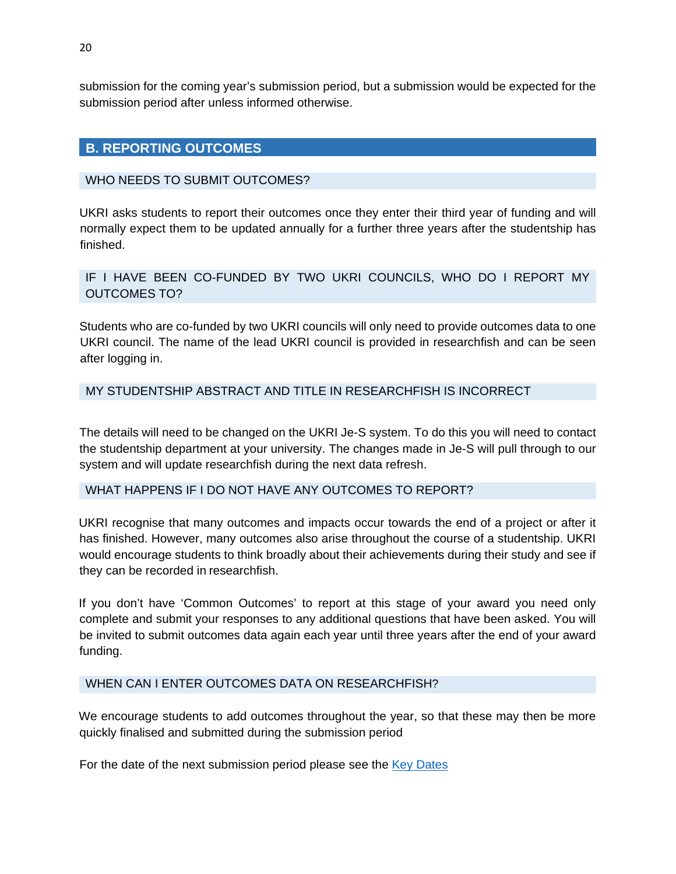submission for the coming year's submission period, but a submission would be expected for the submission period after unless informed otherwise.

# <span id="page-19-0"></span>**B. REPORTING OUTCOMES**

#### WHO NEEDS TO SUBMIT OUTCOMES?

UKRI asks students to report their outcomes once they enter their third year of funding and will normally expect them to be updated annually for a further three years after the studentship has finished.

# IF I HAVE BEEN CO-FUNDED BY TWO UKRI COUNCILS, WHO DO I REPORT MY OUTCOMES TO?

Students who are co-funded by two UKRI councils will only need to provide outcomes data to one UKRI council. The name of the lead UKRI council is provided in researchfish and can be seen after logging in.

# MY STUDENTSHIP ABSTRACT AND TITLE IN RESEARCHFISH IS INCORRECT

The details will need to be changed on the UKRI Je-S system. To do this you will need to contact the studentship department at your university. The changes made in Je-S will pull through to our system and will update researchfish during the next data refresh.

#### WHAT HAPPENS IF I DO NOT HAVE ANY OUTCOMES TO REPORT?

UKRI recognise that many outcomes and impacts occur towards the end of a project or after it has finished. However, many outcomes also arise throughout the course of a studentship. UKRI would encourage students to think broadly about their achievements during their study and see if they can be recorded in researchfish.

If you don't have 'Common Outcomes' to report at this stage of your award you need only complete and submit your responses to any additional questions that have been asked. You will be invited to submit outcomes data again each year until three years after the end of your award funding.

#### WHEN CAN I ENTER OUTCOMES DATA ON RESEARCHFISH?

We encourage students to add outcomes throughout the year, so that these may then be more quickly finalised and submitted during the submission period

For the date of the next submission period please see the [Key Dates](#page-1-1)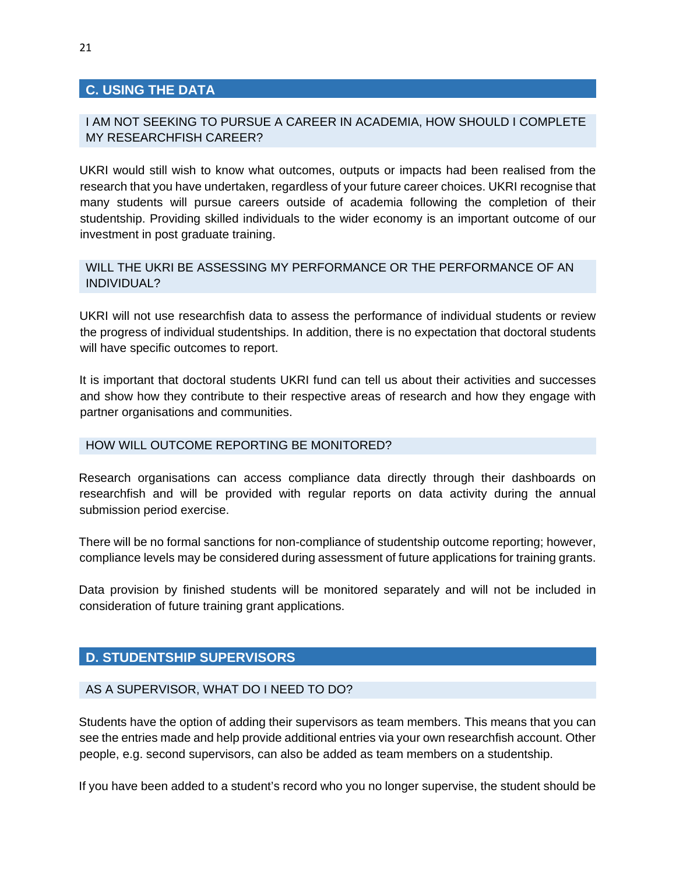# <span id="page-20-0"></span>**C. USING THE DATA**

# I AM NOT SEEKING TO PURSUE A CAREER IN ACADEMIA, HOW SHOULD I COMPLETE MY RESEARCHFISH CAREER?

UKRI would still wish to know what outcomes, outputs or impacts had been realised from the research that you have undertaken, regardless of your future career choices. UKRI recognise that many students will pursue careers outside of academia following the completion of their studentship. Providing skilled individuals to the wider economy is an important outcome of our investment in post graduate training.

# WILL THE UKRI BE ASSESSING MY PERFORMANCE OR THE PERFORMANCE OF AN INDIVIDUAL?

UKRI will not use researchfish data to assess the performance of individual students or review the progress of individual studentships. In addition, there is no expectation that doctoral students will have specific outcomes to report.

It is important that doctoral students UKRI fund can tell us about their activities and successes and show how they contribute to their respective areas of research and how they engage with partner organisations and communities.

#### HOW WILL OUTCOME REPORTING BE MONITORED?

Research organisations can access compliance data directly through their dashboards on researchfish and will be provided with regular reports on data activity during the annual submission period exercise.

There will be no formal sanctions for non-compliance of studentship outcome reporting; however, compliance levels may be considered during assessment of future applications for training grants.

Data provision by finished students will be monitored separately and will not be included in consideration of future training grant applications.

# <span id="page-20-1"></span>**D. STUDENTSHIP SUPERVISORS**

#### AS A SUPERVISOR, WHAT DO I NEED TO DO?

Students have the option of adding their supervisors as team members. This means that you can see the entries made and help provide additional entries via your own researchfish account. Other people, e.g. second supervisors, can also be added as team members on a studentship.

If you have been added to a student's record who you no longer supervise, the student should be